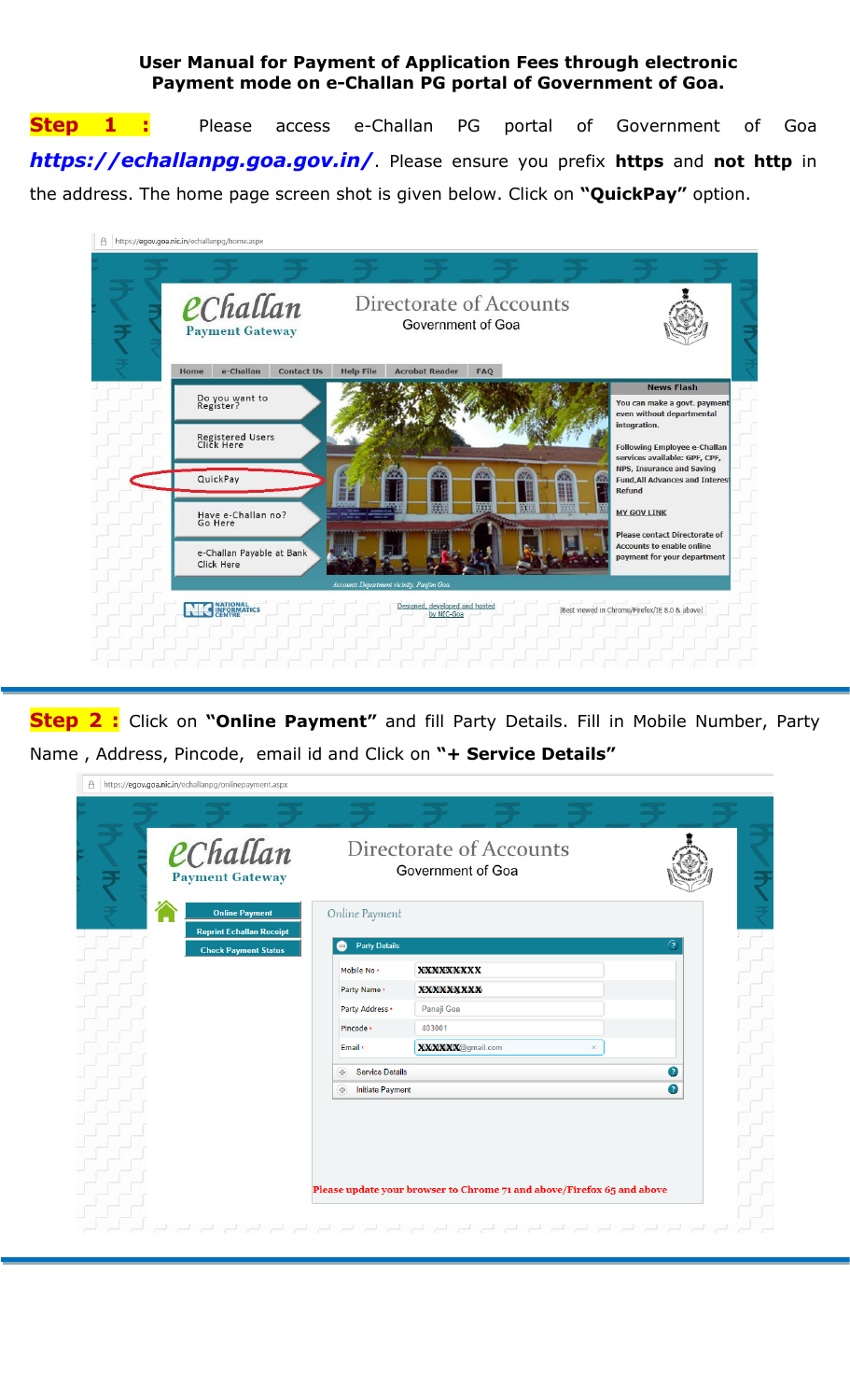## **User Manual for Payment of Application Fees through electronic Payment mode on e-Challan PG portal of Government of Goa.**

**Step 1 :** Please access e-Challan PG portal of Government of Goa **https://echallanpg.goa.gov.in/**. Please ensure you prefix **https** and **not http** in the address. The home page screen shot is given below. Click on **"QuickPay"** option.

| â | https://egov.goa.nic.in/echallanpg/home.aspx |                                                                                           |                                                                                                                              |
|---|----------------------------------------------|-------------------------------------------------------------------------------------------|------------------------------------------------------------------------------------------------------------------------------|
|   | eChallan<br><b>Payment Gateway</b>           | Directorate of Accounts<br>Government of Goa                                              |                                                                                                                              |
|   | e-Challan<br><b>Contact Us</b><br>Home       | <b>Help File</b><br><b>Acrobat Reader</b><br><b>FAO</b>                                   |                                                                                                                              |
|   | Do you want to<br>Register?                  |                                                                                           | <b>News Flash</b><br>You can make a govt. payment<br>even without departmental<br>integration.                               |
|   | Registered Users<br>Click Here               |                                                                                           | <b>Following Employee e-Challan</b>                                                                                          |
|   | QuickPay                                     |                                                                                           | services available: GPF, CPF,<br><b>NPS, Insurance and Saving</b><br><b>Fund, All Advances and Interest</b><br><b>Refund</b> |
|   | Have e-Challan no?<br>Go Here                | <b>THEFT</b><br>m<br>開開                                                                   | <b>MY GOV LINK</b>                                                                                                           |
|   | e-Challan Payable at Bank<br>Click Here      |                                                                                           | <b>Please contact Directorate of</b><br><b>Accounts to enable online</b><br>payment for your department                      |
|   | <b>NATIONAL</b><br>INFORMATICS               | Accounts Department vicinity, Panjim Goa.<br>Designed, developed and hosted<br>by NIC-Goa | [Best viewed in Chrome/Firefox/IE 8.0 & above]                                                                               |

**Step 2 :** Click on **"Online Payment"** and fill Party Details. Fill in Mobile Number, Party Name , Address, Pincode, email id and Click on **"+ Service Details"**

| ö | https://egov.goa.nic.in/echallanpg/onlinepayment.aspx    |                                               |                                                                        |   |   |  |
|---|----------------------------------------------------------|-----------------------------------------------|------------------------------------------------------------------------|---|---|--|
|   |                                                          |                                               |                                                                        |   |   |  |
|   | eChallan<br><b>Payment Gateway</b>                       |                                               | Directorate of Accounts<br>Government of Goa                           |   |   |  |
|   | <b>Online Payment</b><br><b>Reprint Echallan Receipt</b> | Online Payment<br><b>Party Details</b><br>$=$ |                                                                        |   |   |  |
|   | <b>Check Payment Status</b>                              | Mobile No *                                   | <b>XXXXXXXXXX</b>                                                      |   |   |  |
|   |                                                          | Party Name *                                  | <b>XXXXXXXXX</b>                                                       |   |   |  |
|   |                                                          | Party Address *                               | Panaji Goa                                                             |   |   |  |
|   |                                                          | Pincode *                                     | 403001                                                                 |   |   |  |
|   |                                                          | Email *                                       | XXXXXX@gmail.com                                                       | × |   |  |
|   |                                                          | <b>Service Details</b><br>中                   |                                                                        |   | Ω |  |
|   |                                                          | 中<br><b>Initiate Payment</b>                  |                                                                        |   | Q |  |
|   |                                                          |                                               |                                                                        |   |   |  |
|   |                                                          |                                               |                                                                        |   |   |  |
|   |                                                          |                                               |                                                                        |   |   |  |
|   |                                                          |                                               |                                                                        |   |   |  |
|   |                                                          |                                               | Please update your browser to Chrome 71 and above/Firefox 65 and above |   |   |  |
|   |                                                          |                                               |                                                                        |   |   |  |
|   |                                                          |                                               |                                                                        |   |   |  |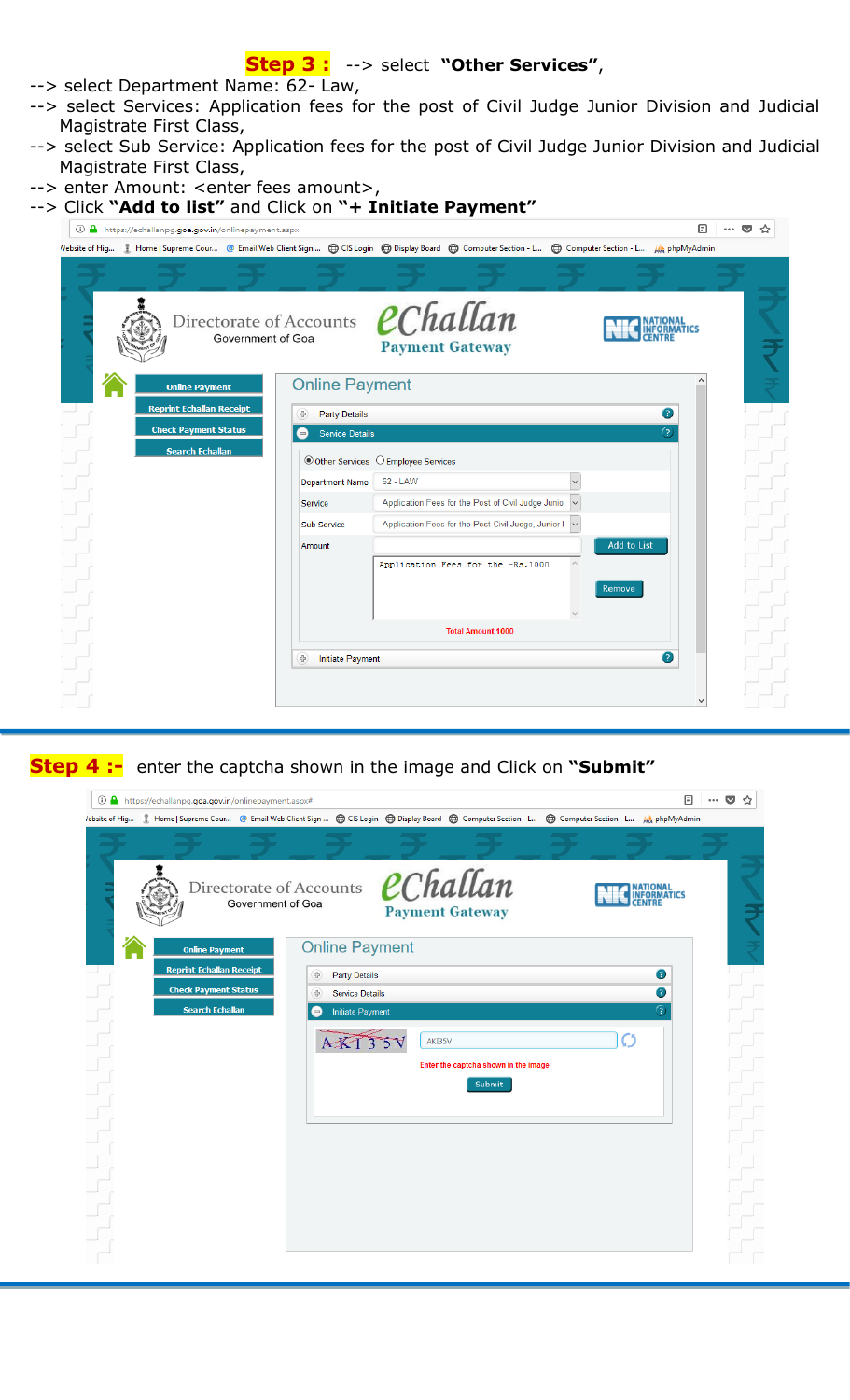## **Step 3 :** --> select **"Other Services"**,

- --> select Department Name: 62- Law,
- --> select Services: Application fees for the post of Civil Judge Junior Division and Judicial Magistrate First Class,
- --> select Sub Service: Application fees for the post of Civil Judge Junior Division and Judicial Magistrate First Class,
- --> enter Amount: <enter fees amount>,

| --> Click "Add to list" and Click on "+ Initiate Payment" |
|-----------------------------------------------------------|
|-----------------------------------------------------------|

| ① A https://echallanpg.goa.gov.in/onlinepayment.aspx                                                                                                         |                                              |                        |                                      |                                                       |             | ╔ | ☆ |
|--------------------------------------------------------------------------------------------------------------------------------------------------------------|----------------------------------------------|------------------------|--------------------------------------|-------------------------------------------------------|-------------|---|---|
| Vebsite of Hig <b>A</b> Home   Supreme Cour @ Email Web Client Sign  @ CIS Login @ Display Board @ Computer Section - L @ Computer Section - L (A phpMyAdmin |                                              |                        |                                      |                                                       |             |   |   |
|                                                                                                                                                              |                                              |                        |                                      |                                                       |             |   |   |
|                                                                                                                                                              | Directorate of Accounts<br>Government of Goa |                        |                                      | eChallan<br><b>Payment Gateway</b>                    |             |   |   |
| <b>Online Payment</b>                                                                                                                                        |                                              | <b>Online Payment</b>  |                                      |                                                       |             |   |   |
| <b>Reprint Echallan Receipt</b>                                                                                                                              | 49                                           | Party Details          |                                      |                                                       | 0           |   |   |
| <b>Check Payment Status</b>                                                                                                                                  | $\qquad \qquad =$                            | Service Details        |                                      |                                                       | ?)          |   |   |
| <b>Search Echallan</b>                                                                                                                                       |                                              |                        | ◎ Other Services ○ Employee Services |                                                       |             |   |   |
|                                                                                                                                                              |                                              | <b>Department Name</b> | 62 - LAW                             |                                                       |             |   |   |
|                                                                                                                                                              | Service                                      |                        |                                      | Application Fees for the Post of Civil Judge Junio    |             |   |   |
|                                                                                                                                                              |                                              | Sub Service            |                                      | Application Fees for the Post Civil Judge, Junior I ~ |             |   |   |
|                                                                                                                                                              | Amount                                       |                        |                                      |                                                       | Add to List |   |   |
|                                                                                                                                                              |                                              |                        |                                      | Application Fees for the -Rs.1000                     |             |   |   |
|                                                                                                                                                              |                                              |                        |                                      |                                                       | Remove      |   |   |
|                                                                                                                                                              |                                              |                        |                                      | <b>Total Amount 1000</b>                              |             |   |   |
|                                                                                                                                                              | (中                                           | Initiate Payment       |                                      |                                                       | 2           |   |   |
|                                                                                                                                                              |                                              |                        |                                      |                                                       |             |   |   |
|                                                                                                                                                              |                                              |                        |                                      |                                                       |             |   |   |

**Step 4 :-** enter the captcha shown in the image and Click on **"Submit"**

| 1 https://echallanpg.goa.gov.in/onlinepayment.aspx#   |                                              |                                                 |                                                |                                                                                                                                                        | 冃<br>$\overline{\mathbf{v}}$<br>☆ |
|-------------------------------------------------------|----------------------------------------------|-------------------------------------------------|------------------------------------------------|--------------------------------------------------------------------------------------------------------------------------------------------------------|-----------------------------------|
|                                                       |                                              |                                                 |                                                | /ebsite of Hig 1 Home   Supreme Cour @ Email Web Client Sign  曲 CIS Login 曲 Display Board 曲 Computer Section - L 曲 Computer Section - L (4) phpMyAdmin |                                   |
|                                                       |                                              |                                                 |                                                |                                                                                                                                                        |                                   |
|                                                       | Directorate of Accounts<br>Government of Goa |                                                 | eChallan<br><b>Payment Gateway</b>             |                                                                                                                                                        |                                   |
| <b>Online Payment</b>                                 |                                              | <b>Online Payment</b>                           |                                                |                                                                                                                                                        |                                   |
| <b>Reprint Echallan Receipt</b>                       |                                              | <b>Party Details</b><br>亜                       |                                                |                                                                                                                                                        | 2                                 |
| <b>Check Payment Status</b><br><b>Search Echallan</b> |                                              | <b>Service Details</b><br>中                     |                                                |                                                                                                                                                        | Q<br>ନ                            |
|                                                       |                                              | Initiate Payment<br>$\qquad \qquad =$<br>AKT35V | AKI35V                                         |                                                                                                                                                        |                                   |
|                                                       |                                              |                                                 | Enter the captcha shown in the image<br>Submit |                                                                                                                                                        |                                   |
|                                                       |                                              |                                                 |                                                |                                                                                                                                                        |                                   |
|                                                       |                                              |                                                 |                                                |                                                                                                                                                        |                                   |
|                                                       |                                              |                                                 |                                                |                                                                                                                                                        |                                   |
|                                                       |                                              |                                                 |                                                |                                                                                                                                                        |                                   |
|                                                       |                                              |                                                 |                                                |                                                                                                                                                        |                                   |
|                                                       |                                              |                                                 |                                                |                                                                                                                                                        |                                   |
|                                                       |                                              |                                                 |                                                |                                                                                                                                                        |                                   |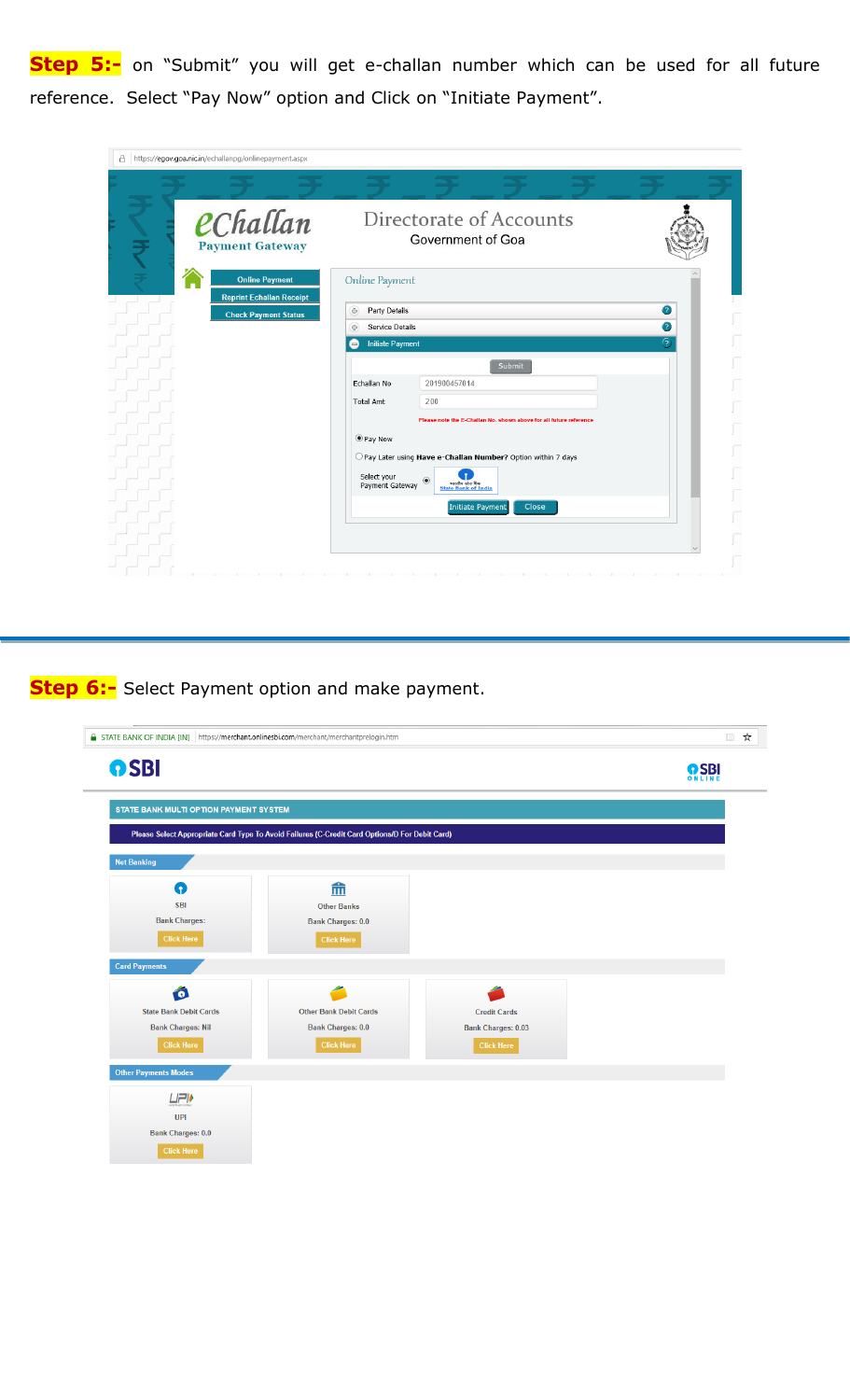**Step 5:-** on "Submit" you will get e-challan number which can be used for all future reference. Select "Pay Now" option and Click on "Initiate Payment".

| A https://egov.goa.nic.in/echallanpg/onlinepayment.aspx                            |                                                   |                                                                                                                                    |   |
|------------------------------------------------------------------------------------|---------------------------------------------------|------------------------------------------------------------------------------------------------------------------------------------|---|
| eChallan                                                                           |                                                   | Directorate of Accounts                                                                                                            |   |
| <b>Payment Gateway</b><br><b>Online Payment</b><br><b>Reprint Echallan Receipt</b> | Online Payment                                    | Government of Goa                                                                                                                  |   |
| <b>Check Payment Status</b>                                                        | <b>Party Details</b><br>÷<br>Service Details<br>中 |                                                                                                                                    | Ø |
|                                                                                    | <b>Initiate Payment</b><br>$\qquad \qquad =$      |                                                                                                                                    |   |
|                                                                                    |                                                   | Submit                                                                                                                             |   |
|                                                                                    | Echallan No                                       | 201900457014                                                                                                                       |   |
|                                                                                    | <b>Total Amt</b>                                  | 200                                                                                                                                |   |
|                                                                                    |                                                   | Please note the E-Challan No. shown above for all future reference                                                                 |   |
|                                                                                    | ● Pay Now                                         |                                                                                                                                    |   |
|                                                                                    | Select your<br>Payment Gateway                    | O Pay Later using Have e-Challan Number? Option within 7 days<br>$\circledcirc$<br>भारतीय स्टेट बैंक<br><b>State Bank of India</b> |   |
|                                                                                    |                                                   | Initiate Payment<br>Close                                                                                                          |   |
|                                                                                    |                                                   |                                                                                                                                    |   |
|                                                                                    |                                                   |                                                                                                                                    |   |

**Step 6:-** Select Payment option and make payment.

| STATE BANK OF INDIA [IN] https://merchant.onlinesbi.com/merchant/merchantprelogin.htm |                                                                                                |                           | ☆<br>$\Box$ |
|---------------------------------------------------------------------------------------|------------------------------------------------------------------------------------------------|---------------------------|-------------|
| <b>OSBI</b>                                                                           |                                                                                                |                           | <b>OSBI</b> |
| STATE BANK MULTI OPTION PAYMENT SYSTEM                                                |                                                                                                |                           |             |
|                                                                                       | Please Select Appropriate Card Type To Avoid Failures (C-Credit Card Options/D For Debit Card) |                           |             |
| <b>Net Banking</b>                                                                    |                                                                                                |                           |             |
| Q                                                                                     | 血                                                                                              |                           |             |
| <b>SBI</b>                                                                            | <b>Other Banks</b>                                                                             |                           |             |
| <b>Bank Charges:</b>                                                                  | <b>Bank Charges: 0.0</b>                                                                       |                           |             |
| <b>Click Here</b>                                                                     | <b>Click Here</b>                                                                              |                           |             |
| <b>Card Payments</b>                                                                  |                                                                                                |                           |             |
| Ó                                                                                     |                                                                                                |                           |             |
| <b>State Bank Debit Cards</b>                                                         | <b>Other Bank Debit Cards</b>                                                                  | <b>Credit Cards</b>       |             |
| <b>Bank Charges: Nil</b>                                                              | <b>Bank Charges: 0.0</b>                                                                       | <b>Bank Charges: 0.03</b> |             |
| <b>Click Here</b>                                                                     | <b>Click Here</b>                                                                              | <b>Click Here</b>         |             |
| <b>Other Payments Modes</b>                                                           |                                                                                                |                           |             |
| <b>UPI</b>                                                                            |                                                                                                |                           |             |
| <b>UPI</b>                                                                            |                                                                                                |                           |             |
| <b>Bank Charges: 0.0</b>                                                              |                                                                                                |                           |             |
| <b>Click Here</b>                                                                     |                                                                                                |                           |             |